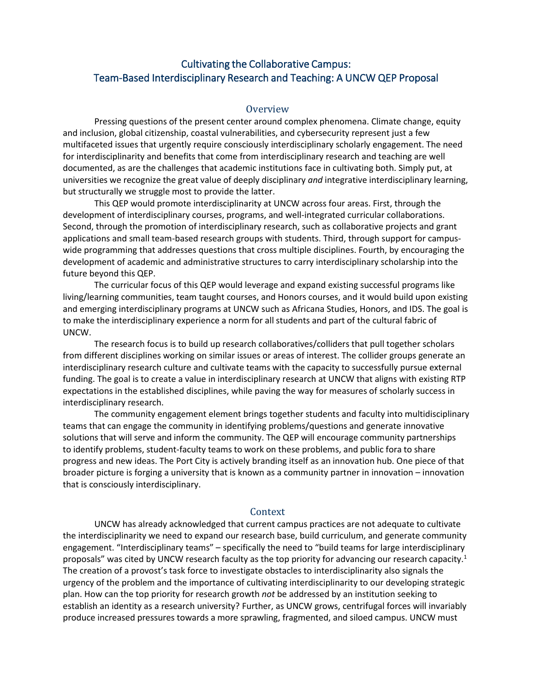# Cultivating the Collaborative Campus: Team-Based Interdisciplinary Research and Teaching: A UNCW QEP Proposal

#### **Overview**

Pressing questions of the present center around complex phenomena. Climate change, equity and inclusion, global citizenship, coastal vulnerabilities, and cybersecurity represent just a few multifaceted issues that urgently require consciously interdisciplinary scholarly engagement. The need for interdisciplinarity and benefits that come from interdisciplinary research and teaching are well documented, as are the challenges that academic institutions face in cultivating both. Simply put, at universities we recognize the great value of deeply disciplinary *and* integrative interdisciplinary learning, but structurally we struggle most to provide the latter.

This QEP would promote interdisciplinarity at UNCW across four areas. First, through the development of interdisciplinary courses, programs, and well-integrated curricular collaborations. Second, through the promotion of interdisciplinary research, such as collaborative projects and grant applications and small team-based research groups with students. Third, through support for campuswide programming that addresses questions that cross multiple disciplines. Fourth, by encouraging the development of academic and administrative structures to carry interdisciplinary scholarship into the future beyond this QEP.

The curricular focus of this QEP would leverage and expand existing successful programs like living/learning communities, team taught courses, and Honors courses, and it would build upon existing and emerging interdisciplinary programs at UNCW such as Africana Studies, Honors, and IDS. The goal is to make the interdisciplinary experience a norm for all students and part of the cultural fabric of UNCW.

The research focus is to build up research collaboratives/colliders that pull together scholars from different disciplines working on similar issues or areas of interest. The collider groups generate an interdisciplinary research culture and cultivate teams with the capacity to successfully pursue external funding. The goal is to create a value in interdisciplinary research at UNCW that aligns with existing RTP expectations in the established disciplines, while paving the way for measures of scholarly success in interdisciplinary research.

The community engagement element brings together students and faculty into multidisciplinary teams that can engage the community in identifying problems/questions and generate innovative solutions that will serve and inform the community. The QEP will encourage community partnerships to identify problems, student-faculty teams to work on these problems, and public fora to share progress and new ideas. The Port City is actively branding itself as an innovation hub. One piece of that broader picture is forging a university that is known as a community partner in innovation – innovation that is consciously interdisciplinary.

#### Context

UNCW has already acknowledged that current campus practices are not adequate to cultivate the interdisciplinarity we need to expand our research base, build curriculum, and generate community engagement. "Interdisciplinary teams" – specifically the need to "build teams for large interdisciplinary proposals" was cited by UNCW research faculty as the top priority for advancing our research capacity.<sup>1</sup> The creation of a provost's task force to investigate obstacles to interdisciplinarity also signals the urgency of the problem and the importance of cultivating interdisciplinarity to our developing strategic plan. How can the top priority for research growth *not* be addressed by an institution seeking to establish an identity as a research university? Further, as UNCW grows, centrifugal forces will invariably produce increased pressures towards a more sprawling, fragmented, and siloed campus. UNCW must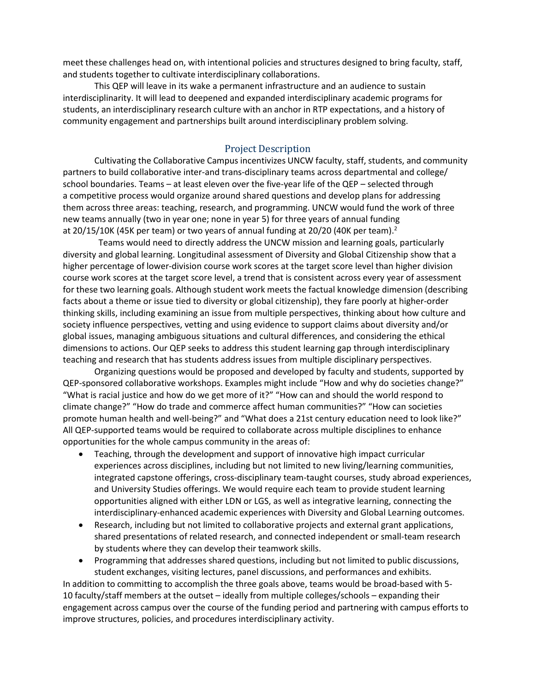meet these challenges head on, with intentional policies and structures designed to bring faculty, staff, and students together to cultivate interdisciplinary collaborations.

This QEP will leave in its wake a permanent infrastructure and an audience to sustain interdisciplinarity. It will lead to deepened and expanded interdisciplinary academic programs for students, an interdisciplinary research culture with an anchor in RTP expectations, and a history of community engagement and partnerships built around interdisciplinary problem solving.

## Project Description

Cultivating the Collaborative Campus incentivizes UNCW faculty, staff, students, and community partners to build collaborative inter-and trans-disciplinary teams across departmental and college/ school boundaries. Teams – at least eleven over the five-year life of the QEP – selected through a competitive process would organize around shared questions and develop plans for addressing them across three areas: teaching, research, and programming. UNCW would fund the work of three new teams annually (two in year one; none in year 5) for three years of annual funding at 20/15/10K (45K per team) or two years of annual funding at 20/20 (40K per team).2

Teams would need to directly address the UNCW mission and learning goals, particularly diversity and global learning. Longitudinal assessment of Diversity and Global Citizenship show that a higher percentage of lower-division course work scores at the target score level than higher division course work scores at the target score level, a trend that is consistent across every year of assessment for these two learning goals. Although student work meets the factual knowledge dimension (describing facts about a theme or issue tied to diversity or global citizenship), they fare poorly at higher-order thinking skills, including examining an issue from multiple perspectives, thinking about how culture and society influence perspectives, vetting and using evidence to support claims about diversity and/or global issues, managing ambiguous situations and cultural differences, and considering the ethical dimensions to actions. Our QEP seeks to address this student learning gap through interdisciplinary teaching and research that has students address issues from multiple disciplinary perspectives.

Organizing questions would be proposed and developed by faculty and students, supported by QEP-sponsored collaborative workshops. Examples might include "How and why do societies change?" "What is racial justice and how do we get more of it?" "How can and should the world respond to climate change?" "How do trade and commerce affect human communities?" "How can societies promote human health and well-being?" and "What does a 21st century education need to look like?" All QEP-supported teams would be required to collaborate across multiple disciplines to enhance opportunities for the whole campus community in the areas of:

- Teaching, through the development and support of innovative high impact curricular experiences across disciplines, including but not limited to new living/learning communities, integrated capstone offerings, cross-disciplinary team-taught courses, study abroad experiences, and University Studies offerings. We would require each team to provide student learning opportunities aligned with either LDN or LGS, as well as integrative learning, connecting the interdisciplinary-enhanced academic experiences with Diversity and Global Learning outcomes.
- Research, including but not limited to collaborative projects and external grant applications, shared presentations of related research, and connected independent or small-team research by students where they can develop their teamwork skills.
- Programming that addresses shared questions, including but not limited to public discussions, student exchanges, visiting lectures, panel discussions, and performances and exhibits.

In addition to committing to accomplish the three goals above, teams would be broad-based with 5- 10 faculty/staff members at the outset – ideally from multiple colleges/schools – expanding their engagement across campus over the course of the funding period and partnering with campus efforts to improve structures, policies, and procedures interdisciplinary activity.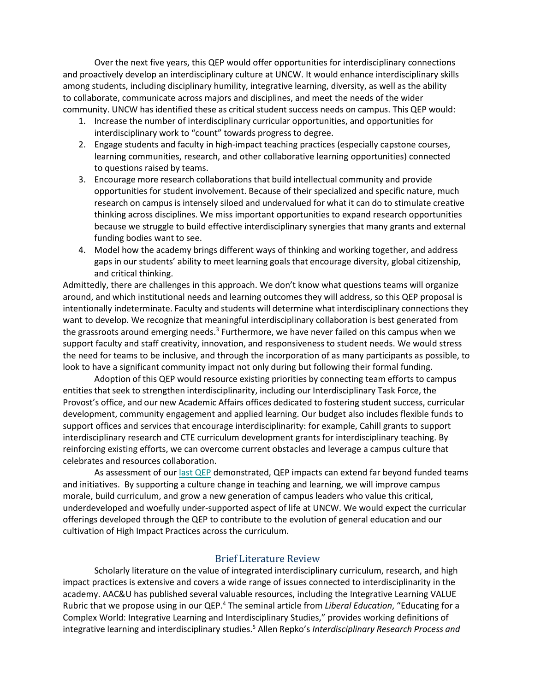Over the next five years, this QEP would offer opportunities for interdisciplinary connections and proactively develop an interdisciplinary culture at UNCW. It would enhance interdisciplinary skills among students, including disciplinary humility, integrative learning, diversity, as well as the ability to collaborate, communicate across majors and disciplines, and meet the needs of the wider community. UNCW has identified these as critical student success needs on campus. This QEP would:

- 1. Increase the number of interdisciplinary curricular opportunities, and opportunities for interdisciplinary work to "count" towards progress to degree.
- 2. Engage students and faculty in high-impact teaching practices (especially capstone courses, learning communities, research, and other collaborative learning opportunities) connected to questions raised by teams.
- 3. Encourage more research collaborations that build intellectual community and provide opportunities for student involvement. Because of their specialized and specific nature, much research on campus is intensely siloed and undervalued for what it can do to stimulate creative thinking across disciplines. We miss important opportunities to expand research opportunities because we struggle to build effective interdisciplinary synergies that many grants and external funding bodies want to see.
- 4. Model how the academy brings different ways of thinking and working together, and address gaps in our students' ability to meet learning goals that encourage diversity, global citizenship, and critical thinking.

Admittedly, there are challenges in this approach. We don't know what questions teams will organize around, and which institutional needs and learning outcomes they will address, so this QEP proposal is intentionally indeterminate. Faculty and students will determine what interdisciplinary connections they want to develop. We recognize that meaningful interdisciplinary collaboration is best generated from the grassroots around emerging needs. $3$  Furthermore, we have never failed on this campus when we support faculty and staff creativity, innovation, and responsiveness to student needs. We would stress the need for teams to be inclusive, and through the incorporation of as many participants as possible, to look to have a significant community impact not only during but following their formal funding.

Adoption of this QEP would resource existing priorities by connecting team efforts to campus entities that seek to strengthen interdisciplinarity, including our Interdisciplinary Task Force, the Provost's office, and our new Academic Affairs offices dedicated to fostering student success, curricular development, community engagement and applied learning. Our budget also includes flexible funds to support offices and services that encourage interdisciplinarity: for example, Cahill grants to support interdisciplinary research and CTE curriculum development grants for interdisciplinary teaching. By reinforcing existing efforts, we can overcome current obstacles and leverage a campus culture that celebrates and resources collaboration.

As assessment of our [last QEP](https://uncw.edu/appliedlearning/documents/uncw-qep-5th-year-impact-report.pdf) demonstrated, QEP impacts can extend far beyond funded teams and initiatives. By supporting a culture change in teaching and learning, we will improve campus morale, build curriculum, and grow a new generation of campus leaders who value this critical, underdeveloped and woefully under-supported aspect of life at UNCW. We would expect the curricular offerings developed through the QEP to contribute to the evolution of general education and our cultivation of High Impact Practices across the curriculum.

### Brief Literature Review

Scholarly literature on the value of integrated interdisciplinary curriculum, research, and high impact practices is extensive and covers a wide range of issues connected to interdisciplinarity in the academy. AAC&U has published several valuable resources, including the Integrative Learning VALUE Rubric that we propose using in our QEP.4 The seminal article from *Liberal Education*, "Educating for a Complex World: Integrative Learning and Interdisciplinary Studies," provides working definitions of integrative learning and interdisciplinary studies.5 Allen Repko's *Interdisciplinary Research Process and*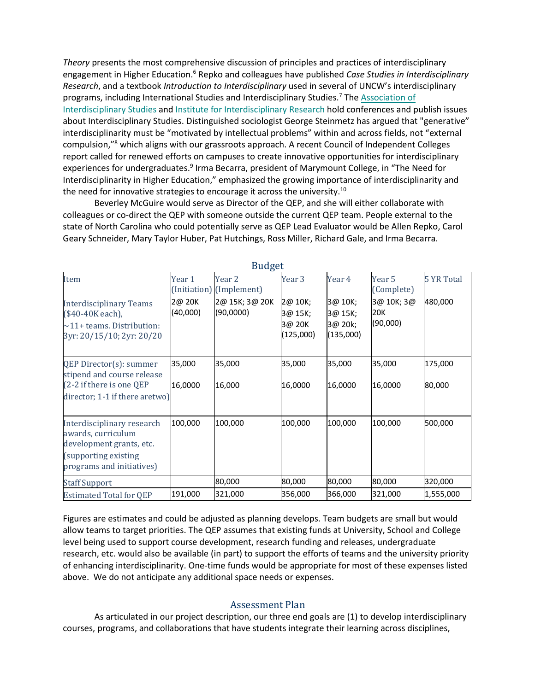*Theory* presents the most comprehensive discussion of principles and practices of interdisciplinary engagement in Higher Education.6 Repko and colleagues have published *Case Studies in Interdisciplinary Research*, and a textbook *Introduction to Interdisciplinary* used in several of UNCW's interdisciplinary programs, including International Studies and Interdisciplinary Studies.<sup>7</sup> The [Association of](https://interdisciplinarystudies.org/) [Interdisciplinary Studies](https://interdisciplinarystudies.org/) and [Institute for Interdisciplinary Research](https://www.jis3.org/) hold conferences and publish issues about Interdisciplinary Studies. Distinguished sociologist George Steinmetz has argued that "generative" interdisciplinarity must be "motivated by intellectual problems" within and across fields, not "external compulsion,"8 which aligns with our grassroots approach. A recent Council of Independent Colleges report called for renewed efforts on campuses to create innovative opportunities for interdisciplinary experiences for undergraduates.<sup>9</sup> Irma Becarra, president of Marymount College, in "The Need for Interdisciplinarity in Higher Education," emphasized the growing importance of interdisciplinarity and the need for innovative strategies to encourage it across the university.<sup>10</sup>

Beverley McGuire would serve as Director of the QEP, and she will either collaborate with colleagues or co-direct the QEP with someone outside the current QEP team. People external to the state of North Carolina who could potentially serve as QEP Lead Evaluator would be Allen Repko, Carol Geary Schneider, Mary Taylor Huber, Pat Hutchings, Ross Miller, Richard Gale, and Irma Becarra.

| Duuget                                                                                                                            |                    |                                    |                                           |                                            |                               |                   |
|-----------------------------------------------------------------------------------------------------------------------------------|--------------------|------------------------------------|-------------------------------------------|--------------------------------------------|-------------------------------|-------------------|
| Item                                                                                                                              | Year 1             | Year 2<br>(Initiation) (Implement) | Year 3                                    | Year 4                                     | Year 5<br>(Complete)          | <b>5 YR Total</b> |
| <b>Interdisciplinary Teams</b><br>(\$40-40K each),<br>$\sim$ 11+ teams. Distribution:<br>3yr: 20/15/10; 2yr: 20/20                | 2@ 20K<br>(40,000) | 2@ 15K; 3@ 20K<br>(90,0000)        | 2@ 10K;<br>3@ 15K;<br>3@ 20K<br>(125,000) | 3@ 10K;<br>3@ 15K;<br>3@ 20k;<br>(135,000) | 3@ 10K; 3@<br>20K<br>(90,000) | 480,000           |
| QEP Director(s): summer<br>stipend and course release                                                                             | 35,000             | 35,000                             | 35,000                                    | 35,000                                     | 35,000                        | 175,000           |
| (2-2 if there is one QEP<br>director; 1-1 if there aretwo)                                                                        | 16,0000            | 16,000                             | 16,0000                                   | 16,0000                                    | 16,0000                       | 80,000            |
| Interdisciplinary research<br>awards, curriculum<br>development grants, etc.<br>(supporting existing<br>programs and initiatives) | 100,000            | 100,000                            | 100,000                                   | 100,000                                    | 100,000                       | 500,000           |
| <b>Staff Support</b>                                                                                                              |                    | 80,000                             | 80,000                                    | 80,000                                     | 80,000                        | 320,000           |
| <b>Estimated Total for QEP</b>                                                                                                    | 191,000            | 321,000                            | 356,000                                   | 366,000                                    | 321,000                       | 1,555,000         |

 $Buddg$ 

Figures are estimates and could be adjusted as planning develops. Team budgets are small but would allow teams to target priorities. The QEP assumes that existing funds at University, School and College level being used to support course development, research funding and releases, undergraduate research, etc. would also be available (in part) to support the efforts of teams and the university priority of enhancing interdisciplinarity. One-time funds would be appropriate for most of these expenses listed above. We do not anticipate any additional space needs or expenses.

### Assessment Plan

As articulated in our project description, our three end goals are (1) to develop interdisciplinary courses, programs, and collaborations that have students integrate their learning across disciplines,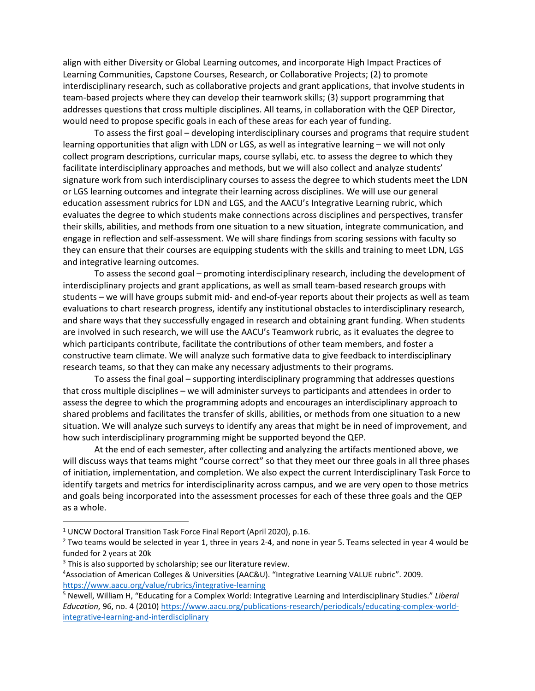align with either Diversity or Global Learning outcomes, and incorporate High Impact Practices of Learning Communities, Capstone Courses, Research, or Collaborative Projects; (2) to promote interdisciplinary research, such as collaborative projects and grant applications, that involve students in team-based projects where they can develop their teamwork skills; (3) support programming that addresses questions that cross multiple disciplines. All teams, in collaboration with the QEP Director, would need to propose specific goals in each of these areas for each year of funding.

To assess the first goal – developing interdisciplinary courses and programs that require student learning opportunities that align with LDN or LGS, as well as integrative learning – we will not only collect program descriptions, curricular maps, course syllabi, etc. to assess the degree to which they facilitate interdisciplinary approaches and methods, but we will also collect and analyze students' signature work from such interdisciplinary courses to assess the degree to which students meet the LDN or LGS learning outcomes and integrate their learning across disciplines. We will use our general education assessment rubrics for LDN and LGS, and the AACU's Integrative Learning rubric, which evaluates the degree to which students make connections across disciplines and perspectives, transfer their skills, abilities, and methods from one situation to a new situation, integrate communication, and engage in reflection and self-assessment. We will share findings from scoring sessions with faculty so they can ensure that their courses are equipping students with the skills and training to meet LDN, LGS and integrative learning outcomes.

To assess the second goal – promoting interdisciplinary research, including the development of interdisciplinary projects and grant applications, as well as small team-based research groups with students – we will have groups submit mid- and end-of-year reports about their projects as well as team evaluations to chart research progress, identify any institutional obstacles to interdisciplinary research, and share ways that they successfully engaged in research and obtaining grant funding. When students are involved in such research, we will use the AACU's Teamwork rubric, as it evaluates the degree to which participants contribute, facilitate the contributions of other team members, and foster a constructive team climate. We will analyze such formative data to give feedback to interdisciplinary research teams, so that they can make any necessary adjustments to their programs.

To assess the final goal – supporting interdisciplinary programming that addresses questions that cross multiple disciplines – we will administer surveys to participants and attendees in order to assess the degree to which the programming adopts and encourages an interdisciplinary approach to shared problems and facilitates the transfer of skills, abilities, or methods from one situation to a new situation. We will analyze such surveys to identify any areas that might be in need of improvement, and how such interdisciplinary programming might be supported beyond the QEP.

At the end of each semester, after collecting and analyzing the artifacts mentioned above, we will discuss ways that teams might "course correct" so that they meet our three goals in all three phases of initiation, implementation, and completion. We also expect the current Interdisciplinary Task Force to identify targets and metrics for interdisciplinarity across campus, and we are very open to those metrics and goals being incorporated into the assessment processes for each of these three goals and the QEP as a whole.

<sup>1</sup> UNCW Doctoral Transition Task Force Final Report (April 2020), p.16.

 $2$  Two teams would be selected in year 1, three in years 2-4, and none in year 5. Teams selected in year 4 would be funded for 2 years at 20k

 $3$  This is also supported by scholarship; see our literature review.

<sup>4</sup> Association of American Colleges & Universities (AAC&U). "Integrative Learning VALUE rubric". 2009. <https://www.aacu.org/value/rubrics/integrative-learning>

<sup>5</sup> Newell, William H, "Educating for a Complex World: Integrative Learning and Interdisciplinary Studies." *Liberal Education*, 96, no. 4 (2010) [https://www.aacu.org/publications-research/periodicals/educating-complex-world](https://www.aacu.org/publications-research/periodicals/educating-complex-world-integrative-learning-and-interdisciplinary)[integrative-learning-and-interdisciplinary](https://www.aacu.org/publications-research/periodicals/educating-complex-world-integrative-learning-and-interdisciplinary)